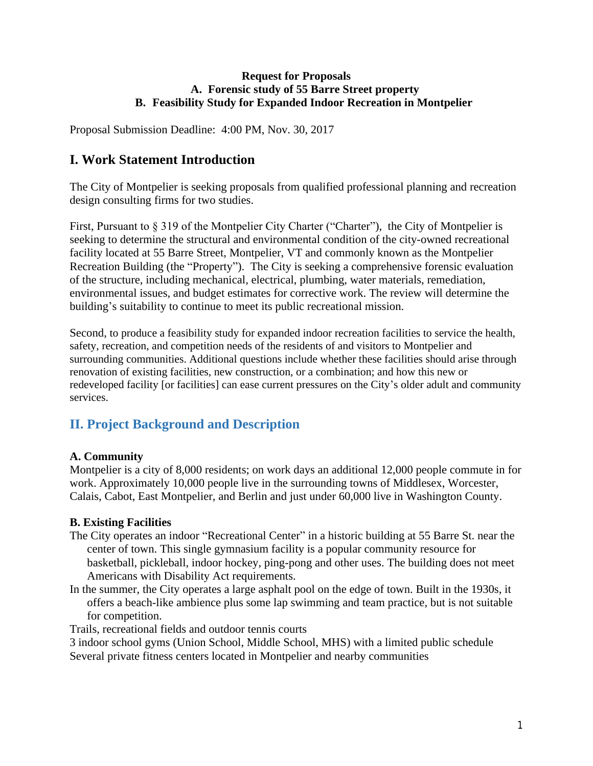#### **Request for Proposals A. Forensic study of 55 Barre Street property B. Feasibility Study for Expanded Indoor Recreation in Montpelier**

Proposal Submission Deadline: 4:00 PM, Nov. 30, 2017

# **I. Work Statement Introduction**

The City of Montpelier is seeking proposals from qualified professional planning and recreation design consulting firms for two studies.

First, Pursuant to § 319 of the Montpelier City Charter ("Charter"), the City of Montpelier is seeking to determine the structural and environmental condition of the city-owned recreational facility located at 55 Barre Street, Montpelier, VT and commonly known as the Montpelier Recreation Building (the "Property"). The City is seeking a comprehensive forensic evaluation of the structure, including mechanical, electrical, plumbing, water materials, remediation, environmental issues, and budget estimates for corrective work. The review will determine the building's suitability to continue to meet its public recreational mission.

Second, to produce a feasibility study for expanded indoor recreation facilities to service the health, safety, recreation, and competition needs of the residents of and visitors to Montpelier and surrounding communities. Additional questions include whether these facilities should arise through renovation of existing facilities, new construction, or a combination; and how this new or redeveloped facility [or facilities] can ease current pressures on the City's older adult and community services.

# **II. Project Background and Description**

# **A. Community**

Montpelier is a city of 8,000 residents; on work days an additional 12,000 people commute in for work. Approximately 10,000 people live in the surrounding towns of Middlesex, Worcester, Calais, Cabot, East Montpelier, and Berlin and just under 60,000 live in Washington County.

### **B. Existing Facilities**

- The City operates an indoor "Recreational Center" in a historic building at 55 Barre St. near the center of town. This single gymnasium facility is a popular community resource for basketball, pickleball, indoor hockey, ping-pong and other uses. The building does not meet Americans with Disability Act requirements.
- In the summer, the City operates a large asphalt pool on the edge of town. Built in the 1930s, it offers a beach-like ambience plus some lap swimming and team practice, but is not suitable for competition.

Trails, recreational fields and outdoor tennis courts

3 indoor school gyms (Union School, Middle School, MHS) with a limited public schedule Several private fitness centers located in Montpelier and nearby communities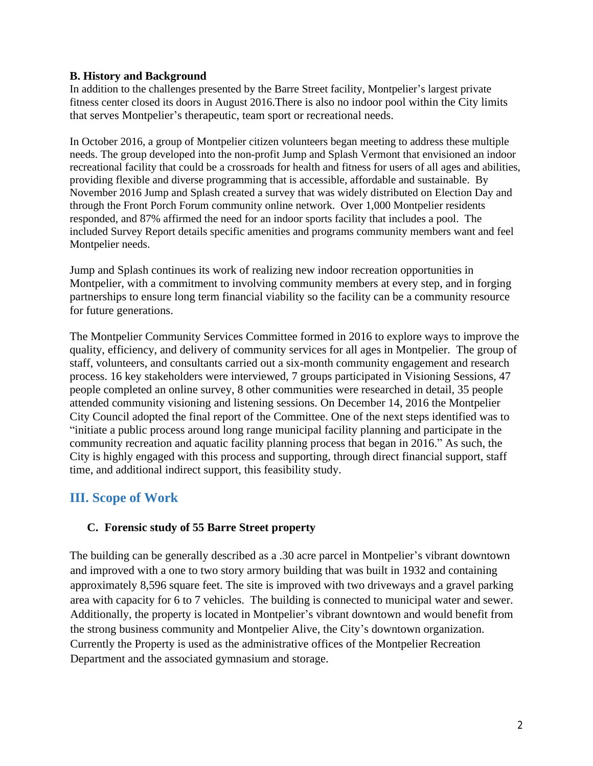#### **B. History and Background**

In addition to the challenges presented by the Barre Street facility, Montpelier's largest private fitness center closed its doors in August 2016.There is also no indoor pool within the City limits that serves Montpelier's therapeutic, team sport or recreational needs.

In October 2016, a group of Montpelier citizen volunteers began meeting to address these multiple needs. The group developed into the non-profit Jump and Splash Vermont that envisioned an indoor recreational facility that could be a crossroads for health and fitness for users of all ages and abilities, providing flexible and diverse programming that is accessible, affordable and sustainable. By November 2016 Jump and Splash created a survey that was widely distributed on Election Day and through the Front Porch Forum community online network. Over 1,000 Montpelier residents responded, and 87% affirmed the need for an indoor sports facility that includes a pool. The included Survey Report details specific amenities and programs community members want and feel Montpelier needs.

Jump and Splash continues its work of realizing new indoor recreation opportunities in Montpelier, with a commitment to involving community members at every step, and in forging partnerships to ensure long term financial viability so the facility can be a community resource for future generations.

The Montpelier Community Services Committee formed in 2016 to explore ways to improve the quality, efficiency, and delivery of community services for all ages in Montpelier. The group of staff, volunteers, and consultants carried out a six-month community engagement and research process. 16 key stakeholders were interviewed, 7 groups participated in Visioning Sessions, 47 people completed an online survey, 8 other communities were researched in detail, 35 people attended community visioning and listening sessions. On December 14, 2016 the Montpelier City Council adopted the final report of the Committee. One of the next steps identified was to "initiate a public process around long range municipal facility planning and participate in the community recreation and aquatic facility planning process that began in 2016." As such, the City is highly engaged with this process and supporting, through direct financial support, staff time, and additional indirect support, this feasibility study.

# **III. Scope of Work**

### **C. Forensic study of 55 Barre Street property**

The building can be generally described as a .30 acre parcel in Montpelier's vibrant downtown and improved with a one to two story armory building that was built in 1932 and containing approximately 8,596 square feet. The site is improved with two driveways and a gravel parking area with capacity for 6 to 7 vehicles. The building is connected to municipal water and sewer. Additionally, the property is located in Montpelier's vibrant downtown and would benefit from the strong business community and Montpelier Alive, the City's downtown organization. Currently the Property is used as the administrative offices of the Montpelier Recreation Department and the associated gymnasium and storage.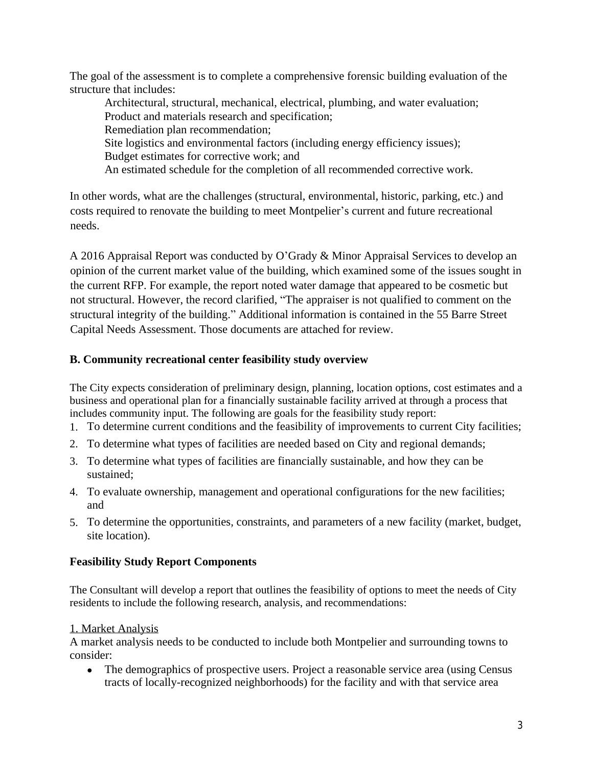The goal of the assessment is to complete a comprehensive forensic building evaluation of the structure that includes:

Architectural, structural, mechanical, electrical, plumbing, and water evaluation; Product and materials research and specification; Remediation plan recommendation; Site logistics and environmental factors (including energy efficiency issues); Budget estimates for corrective work; and An estimated schedule for the completion of all recommended corrective work.

In other words, what are the challenges (structural, environmental, historic, parking, etc.) and costs required to renovate the building to meet Montpelier's current and future recreational needs.

A 2016 Appraisal Report was conducted by O'Grady & Minor Appraisal Services to develop an opinion of the current market value of the building, which examined some of the issues sought in the current RFP. For example, the report noted water damage that appeared to be cosmetic but not structural. However, the record clarified, "The appraiser is not qualified to comment on the structural integrity of the building." Additional information is contained in the 55 Barre Street Capital Needs Assessment. Those documents are attached for review.

# **B. Community recreational center feasibility study overview**

The City expects consideration of preliminary design, planning, location options, cost estimates and a business and operational plan for a financially sustainable facility arrived at through a process that includes community input. The following are goals for the feasibility study report:

- 1. To determine current conditions and the feasibility of improvements to current City facilities;
- 2. To determine what types of facilities are needed based on City and regional demands;
- 3. To determine what types of facilities are financially sustainable, and how they can be sustained;
- 4. To evaluate ownership, management and operational configurations for the new facilities; and
- 5. To determine the opportunities, constraints, and parameters of a new facility (market, budget, site location).

# **Feasibility Study Report Components**

The Consultant will develop a report that outlines the feasibility of options to meet the needs of City residents to include the following research, analysis, and recommendations:

# 1. Market Analysis

A market analysis needs to be conducted to include both Montpelier and surrounding towns to consider:

• The demographics of prospective users. Project a reasonable service area (using Census tracts of locally-recognized neighborhoods) for the facility and with that service area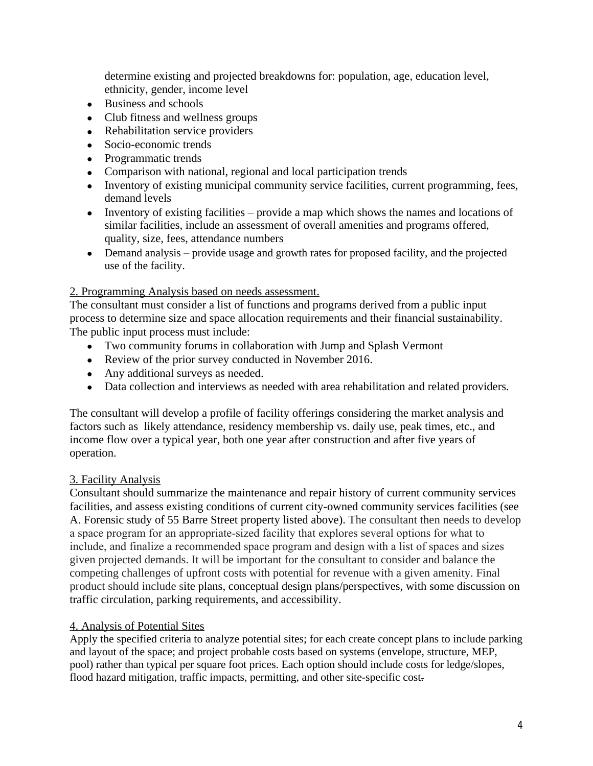determine existing and projected breakdowns for: population, age, education level, ethnicity, gender, income level

- Business and schools
- Club fitness and wellness groups
- Rehabilitation service providers
- Socio-economic trends
- Programmatic trends
- Comparison with national, regional and local participation trends
- Inventory of existing municipal community service facilities, current programming, fees, demand levels
- Inventory of existing facilities provide a map which shows the names and locations of similar facilities, include an assessment of overall amenities and programs offered, quality, size, fees, attendance numbers
- Demand analysis provide usage and growth rates for proposed facility, and the projected use of the facility.

#### 2. Programming Analysis based on needs assessment.

The consultant must consider a list of functions and programs derived from a public input process to determine size and space allocation requirements and their financial sustainability. The public input process must include:

- Two community forums in collaboration with Jump and Splash Vermont
- Review of the prior survey conducted in November 2016.
- Any additional surveys as needed.
- Data collection and interviews as needed with area rehabilitation and related providers.

The consultant will develop a profile of facility offerings considering the market analysis and factors such as likely attendance, residency membership vs. daily use, peak times, etc., and income flow over a typical year, both one year after construction and after five years of operation.

#### 3. Facility Analysis

Consultant should summarize the maintenance and repair history of current community services facilities, and assess existing conditions of current city-owned community services facilities (see A. Forensic study of 55 Barre Street property listed above). The consultant then needs to develop a space program for an appropriate-sized facility that explores several options for what to include, and finalize a recommended space program and design with a list of spaces and sizes given projected demands. It will be important for the consultant to consider and balance the competing challenges of upfront costs with potential for revenue with a given amenity. Final product should include site plans, conceptual design plans/perspectives, with some discussion on traffic circulation, parking requirements, and accessibility.

#### 4. Analysis of Potential Sites

Apply the specified criteria to analyze potential sites; for each create concept plans to include parking and layout of the space; and project probable costs based on systems (envelope, structure, MEP, pool) rather than typical per square foot prices. Each option should include costs for ledge/slopes, flood hazard mitigation, traffic impacts, permitting, and other site-specific cost-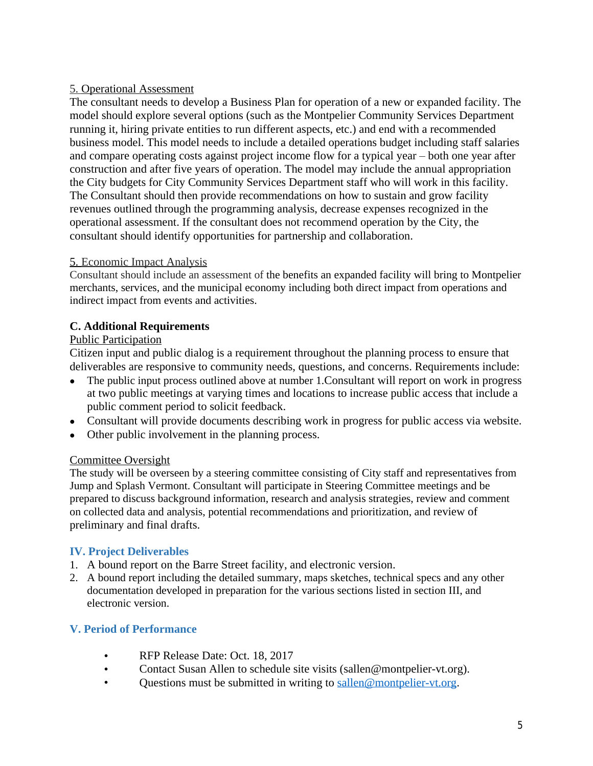### 5. Operational Assessment

The consultant needs to develop a Business Plan for operation of a new or expanded facility. The model should explore several options (such as the Montpelier Community Services Department running it, hiring private entities to run different aspects, etc.) and end with a recommended business model. This model needs to include a detailed operations budget including staff salaries and compare operating costs against project income flow for a typical year – both one year after construction and after five years of operation. The model may include the annual appropriation the City budgets for City Community Services Department staff who will work in this facility. The Consultant should then provide recommendations on how to sustain and grow facility revenues outlined through the programming analysis, decrease expenses recognized in the operational assessment. If the consultant does not recommend operation by the City, the consultant should identify opportunities for partnership and collaboration.

### 5. Economic Impact Analysis

Consultant should include an assessment of the benefits an expanded facility will bring to Montpelier merchants, services, and the municipal economy including both direct impact from operations and indirect impact from events and activities.

# **C. Additional Requirements**

### Public Participation

Citizen input and public dialog is a requirement throughout the planning process to ensure that deliverables are responsive to community needs, questions, and concerns. Requirements include:

- The public input process outlined above at number 1. Consultant will report on work in progress at two public meetings at varying times and locations to increase public access that include a public comment period to solicit feedback.
- Consultant will provide documents describing work in progress for public access via website.
- Other public involvement in the planning process.

### Committee Oversight

The study will be overseen by a steering committee consisting of City staff and representatives from Jump and Splash Vermont. Consultant will participate in Steering Committee meetings and be prepared to discuss background information, research and analysis strategies, review and comment on collected data and analysis, potential recommendations and prioritization, and review of preliminary and final drafts.

### **IV. Project Deliverables**

- 1. A bound report on the Barre Street facility, and electronic version.
- 2. A bound report including the detailed summary, maps sketches, technical specs and any other documentation developed in preparation for the various sections listed in section III, and electronic version.

### **V. Period of Performance**

- RFP Release Date: Oct. 18, 2017
- Contact Susan Allen to schedule site visits (sallen@montpelier-vt.org).<br>• Ouestions must be submitted in writing to sallen@montpelier-vt org
- Questions must be submitted in writing to [sallen@montpelier-vt.org.](mailto:sallen@montpelier-vt.org)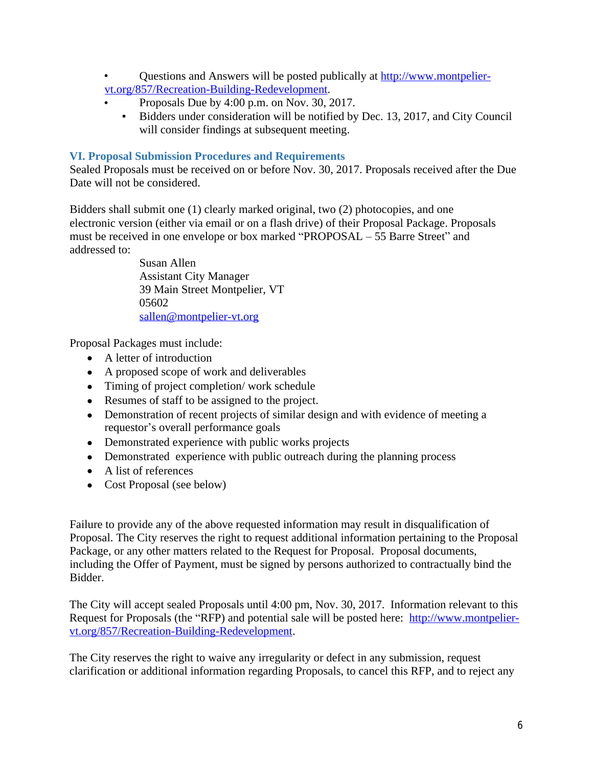- Questions and Answers will be posted publically at http://www.montpeliervt.org/857/Recreation-Building-Redevelopment.
	- Proposals Due by 4:00 p.m. on Nov. 30, 2017.
		- Bidders under consideration will be notified by Dec. 13, 2017, and City Council will consider findings at subsequent meeting.

#### **VI. Proposal Submission Procedures and Requirements**

Sealed Proposals must be received on or before Nov. 30, 2017. Proposals received after the Due Date will not be considered.

Bidders shall submit one (1) clearly marked original, two (2) photocopies, and one electronic version (either via email or on a flash drive) of their Proposal Package. Proposals must be received in one envelope or box marked "PROPOSAL – 55 Barre Street" and addressed to:

> Susan Allen Assistant City Manager 39 Main Street Montpelier, VT 05602 sallen@montpelier-vt.org

Proposal Packages must include:

- A letter of introduction
- A proposed scope of work and deliverables
- Timing of project completion/work schedule
- Resumes of staff to be assigned to the project.
- Demonstration of recent projects of similar design and with evidence of meeting a requestor's overall performance goals
- Demonstrated experience with public works projects
- Demonstrated experience with public outreach during the planning process
- A list of references
- Cost Proposal (see below)

Failure to provide any of the above requested information may result in disqualification of Proposal. The City reserves the right to request additional information pertaining to the Proposal Package, or any other matters related to the Request for Proposal. Proposal documents, including the Offer of Payment, must be signed by persons authorized to contractually bind the Bidder.

The City will accept sealed Proposals until 4:00 pm, Nov. 30, 2017. Information relevant to this Request for Proposals (the "RFP) and potential sale will be posted here: http://www.montpeliervt.org/857/Recreation-Building-Redevelopment.

The City reserves the right to waive any irregularity or defect in any submission, request clarification or additional information regarding Proposals, to cancel this RFP, and to reject any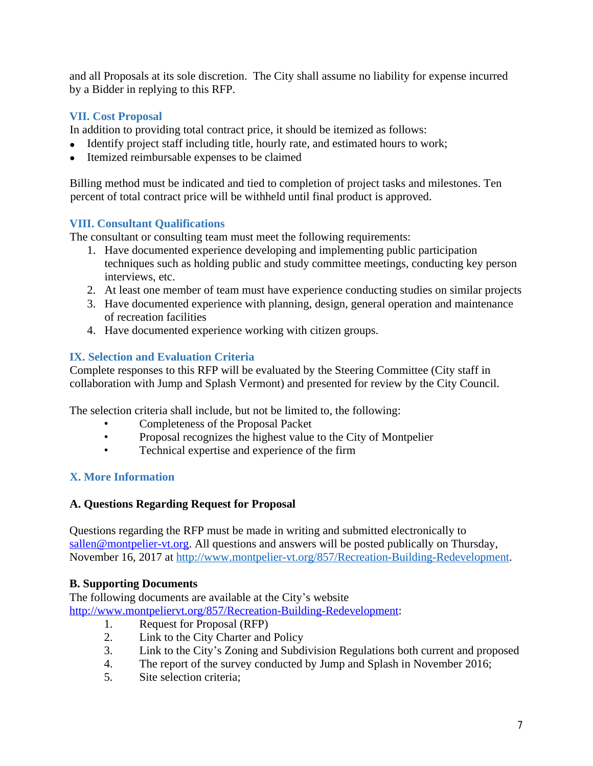and all Proposals at its sole discretion. The City shall assume no liability for expense incurred by a Bidder in replying to this RFP.

# **VII. Cost Proposal**

In addition to providing total contract price, it should be itemized as follows:

- Identify project staff including title, hourly rate, and estimated hours to work;
- Itemized reimbursable expenses to be claimed

Billing method must be indicated and tied to completion of project tasks and milestones. Ten percent of total contract price will be withheld until final product is approved.

# **VIII. Consultant Qualifications**

The consultant or consulting team must meet the following requirements:

- 1. Have documented experience developing and implementing public participation techniques such as holding public and study committee meetings, conducting key person interviews, etc.
- 2. At least one member of team must have experience conducting studies on similar projects
- 3. Have documented experience with planning, design, general operation and maintenance of recreation facilities
- 4. Have documented experience working with citizen groups.

# **IX. Selection and Evaluation Criteria**

Complete responses to this RFP will be evaluated by the Steering Committee (City staff in collaboration with Jump and Splash Vermont) and presented for review by the City Council.

The selection criteria shall include, but not be limited to, the following:

- Completeness of the Proposal Packet<br>• Proposal recognizes the highest value
- Proposal recognizes the highest value to the City of Montpelier
- Technical expertise and experience of the firm

# **X. More Information**

# **A. Questions Regarding Request for Proposal**

Questions regarding the RFP must be made in writing and submitted electronically to sallen@montpelier-vt.org. All questions and answers will be posted publically on Thursday, November 16, 2017 at [http://www.montpelier-vt.org/857/Recreation-Building-Redevelopment.](http://www.montpelier-vt.org/857/Recreation-Building-Redevelopment)

# **B. Supporting Documents**

The following documents are available at the City's website http://www.montpeliervt.org/857/Recreation-Building-Redevelopment:

- 1. Request for Proposal (RFP)
- 2. Link to the City Charter and Policy
- 3. Link to the City's Zoning and Subdivision Regulations both current and proposed
- 4. The report of the survey conducted by Jump and Splash in November 2016;
- 5. Site selection criteria;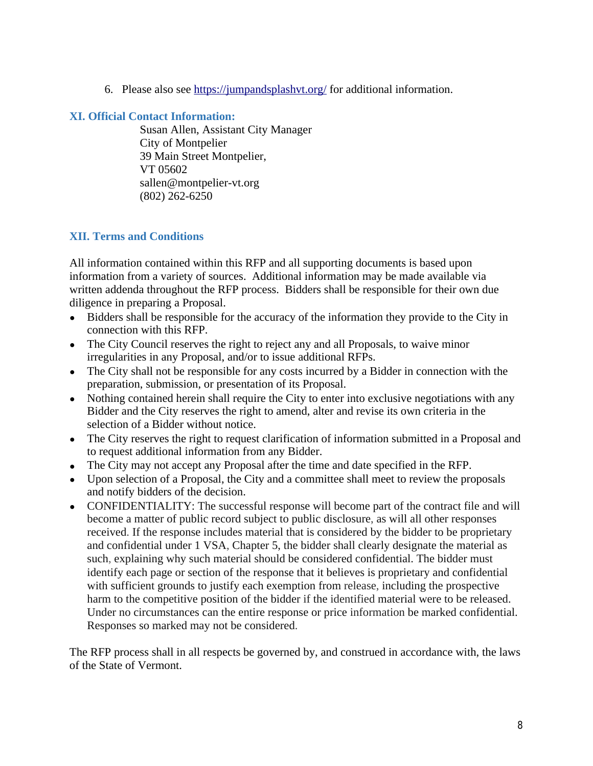6. Please also see<https://jumpandsplashvt.org/> for additional information.

#### **XI. Official Contact Information:**

Susan Allen, Assistant City Manager City of Montpelier 39 Main Street Montpelier, VT 05602 sallen@montpelier-vt.org (802) 262-6250

# **XII. Terms and Conditions**

All information contained within this RFP and all supporting documents is based upon information from a variety of sources. Additional information may be made available via written addenda throughout the RFP process. Bidders shall be responsible for their own due diligence in preparing a Proposal.

- Bidders shall be responsible for the accuracy of the information they provide to the City in connection with this RFP.
- The City Council reserves the right to reject any and all Proposals, to waive minor irregularities in any Proposal, and/or to issue additional RFPs.
- The City shall not be responsible for any costs incurred by a Bidder in connection with the preparation, submission, or presentation of its Proposal.
- Nothing contained herein shall require the City to enter into exclusive negotiations with any Bidder and the City reserves the right to amend, alter and revise its own criteria in the selection of a Bidder without notice.
- The City reserves the right to request clarification of information submitted in a Proposal and to request additional information from any Bidder.
- The City may not accept any Proposal after the time and date specified in the RFP.
- Upon selection of a Proposal, the City and a committee shall meet to review the proposals and notify bidders of the decision.
- CONFIDENTIALITY: The successful response will become part of the contract file and will become a matter of public record subject to public disclosure, as will all other responses received. If the response includes material that is considered by the bidder to be proprietary and confidential under 1 VSA, Chapter 5, the bidder shall clearly designate the material as such, explaining why such material should be considered confidential. The bidder must identify each page or section of the response that it believes is proprietary and confidential with sufficient grounds to justify each exemption from release, including the prospective harm to the competitive position of the bidder if the identified material were to be released. Under no circumstances can the entire response or price information be marked confidential. Responses so marked may not be considered.

The RFP process shall in all respects be governed by, and construed in accordance with, the laws of the State of Vermont.